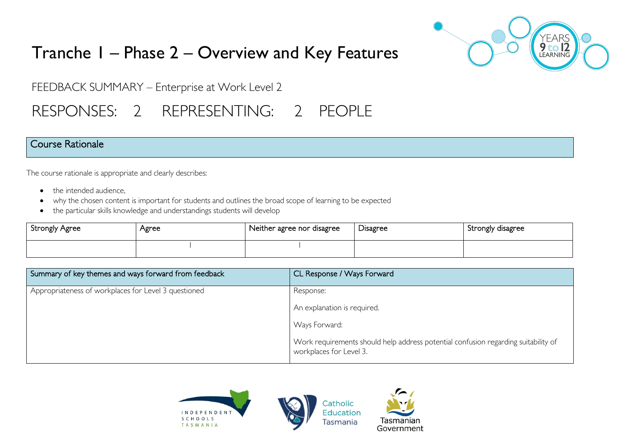

# Tranche 1 – Phase 2 – Overview and Key Features

FEEDBACK SUMMARY – Enterprise at Work Level 2

# RESPONSES: 2 REPRESENTING: 2 PEOPLE

### Course Rationale

The course rationale is appropriate and clearly describes:

- the intended audience.
- why the chosen content is important for students and outlines the broad scope of learning to be expected
- the particular skills knowledge and understandings students will develop

| <b>Strongly Agree</b> | Agree | Neither agree nor disagree | <b>Disagree</b> | Strongly disagree |
|-----------------------|-------|----------------------------|-----------------|-------------------|
|                       |       |                            |                 |                   |

| Summary of key themes and ways forward from feedback | CL Response / Ways Forward                                                                                    |
|------------------------------------------------------|---------------------------------------------------------------------------------------------------------------|
| Appropriateness of workplaces for Level 3 questioned | Response:                                                                                                     |
|                                                      | An explanation is required.                                                                                   |
|                                                      | Ways Forward:                                                                                                 |
|                                                      | Work requirements should help address potential confusion regarding suitability of<br>workplaces for Level 3. |

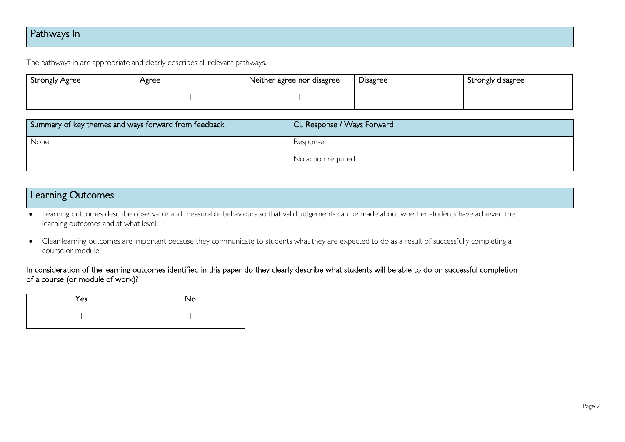## Pathways In

The pathways in are appropriate and clearly describes all relevant pathways.

| Strongly Agree | Agree | Neither agree nor disagree | Disagree | Strongly disagree |
|----------------|-------|----------------------------|----------|-------------------|
|                |       |                            |          |                   |

| Summary of key themes and ways forward from feedback | CL Response / Ways Forward |
|------------------------------------------------------|----------------------------|
| None                                                 | Response:                  |
|                                                      | No action required.        |

### Learning Outcomes

• Learning outcomes describe observable and measurable behaviours so that valid judgements can be made about whether students have achieved the learning outcomes and at what level.

• Clear learning outcomes are important because they communicate to students what they are expected to do as a result of successfully completing a course or module.

#### In consideration of the learning outcomes identified in this paper do they clearly describe what students will be able to do on successful completion of a course (or module of work)?

| Yes | No |
|-----|----|
|     |    |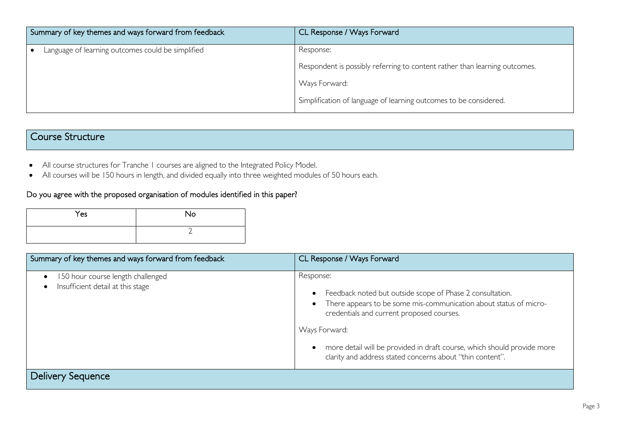| Summary of key themes and ways forward from feedback | CL Response / Ways Forward                                                 |
|------------------------------------------------------|----------------------------------------------------------------------------|
| Language of learning outcomes could be simplified    | Response:                                                                  |
|                                                      | Respondent is possibly referring to content rather than learning outcomes. |
|                                                      | Ways Forward:                                                              |
|                                                      | Simplification of language of learning outcomes to be considered.          |

## Course Structure

- All course structures for Tranche 1 courses are aligned to the Integrated Policy Model.
- All courses will be 150 hours in length, and divided equally into three weighted modules of 50 hours each.

#### Do you agree with the proposed organisation of modules identified in this paper?

| Yes | <b>No</b> |
|-----|-----------|
|     |           |

| Summary of key themes and ways forward from feedback                                | CL Response / Ways Forward                                                                                                                                                                                                                                                                                                                        |
|-------------------------------------------------------------------------------------|---------------------------------------------------------------------------------------------------------------------------------------------------------------------------------------------------------------------------------------------------------------------------------------------------------------------------------------------------|
| 150 hour course length challenged<br>$\bullet$<br>Insufficient detail at this stage | Response:<br>Feedback noted but outside scope of Phase 2 consultation.<br>There appears to be some mis-communication about status of micro-<br>credentials and current proposed courses.<br>Ways Forward:<br>more detail will be provided in draft course, which should provide more<br>clarity and address stated concerns about "thin content". |
| Delivery Sequence                                                                   |                                                                                                                                                                                                                                                                                                                                                   |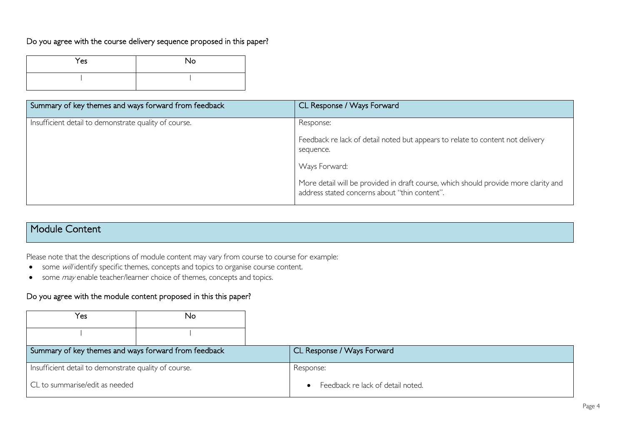#### Do you agree with the course delivery sequence proposed in this paper?

| Yes | No |
|-----|----|
|     |    |

| Summary of key themes and ways forward from feedback  | CL Response / Ways Forward                                                                                                           |
|-------------------------------------------------------|--------------------------------------------------------------------------------------------------------------------------------------|
| Insufficient detail to demonstrate quality of course. | Response:                                                                                                                            |
|                                                       | Feedback re lack of detail noted but appears to relate to content not delivery<br>sequence.                                          |
|                                                       | Ways Forward:                                                                                                                        |
|                                                       | More detail will be provided in draft course, which should provide more clarity and<br>address stated concerns about "thin content". |

## Module Content

Please note that the descriptions of module content may vary from course to course for example:

- some will identify specific themes, concepts and topics to organise course content.
- some *may* enable teacher/learner choice of themes, concepts and topics.

#### Do you agree with the module content proposed in this this paper?

| Yes                                                   | No |                                                |
|-------------------------------------------------------|----|------------------------------------------------|
|                                                       |    |                                                |
| Summary of key themes and ways forward from feedback  |    | CL Response / Ways Forward                     |
| Insufficient detail to demonstrate quality of course. |    | Response:                                      |
| CL to summarise/edit as needed                        |    | Feedback re lack of detail noted.<br>$\bullet$ |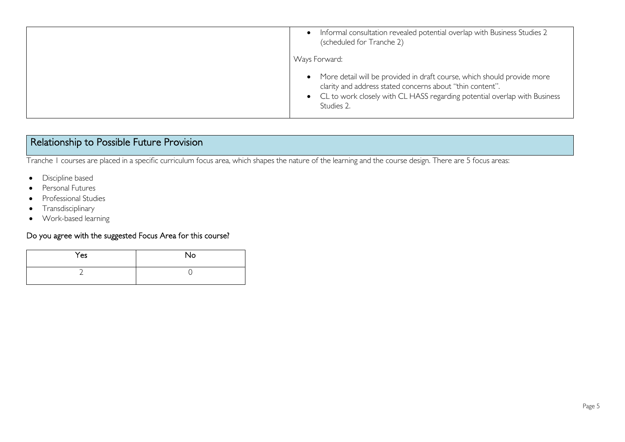| Informal consultation revealed potential overlap with Business Studies 2<br>$\bullet$<br>(scheduled for Tranche 2)                                                                                                                             |
|------------------------------------------------------------------------------------------------------------------------------------------------------------------------------------------------------------------------------------------------|
| Ways Forward:                                                                                                                                                                                                                                  |
| More detail will be provided in draft course, which should provide more<br>$\bullet$<br>clarity and address stated concerns about "thin content".<br>• CL to work closely with CL HASS regarding potential overlap with Business<br>Studies 2. |

## Relationship to Possible Future Provision

Tranche 1 courses are placed in a specific curriculum focus area, which shapes the nature of the learning and the course design. There are 5 focus areas:

- Discipline based
- Personal Futures
- Professional Studies
- Transdisciplinary
- Work-based learning

#### Do you agree with the suggested Focus Area for this course?

| Yes | No |
|-----|----|
|     |    |